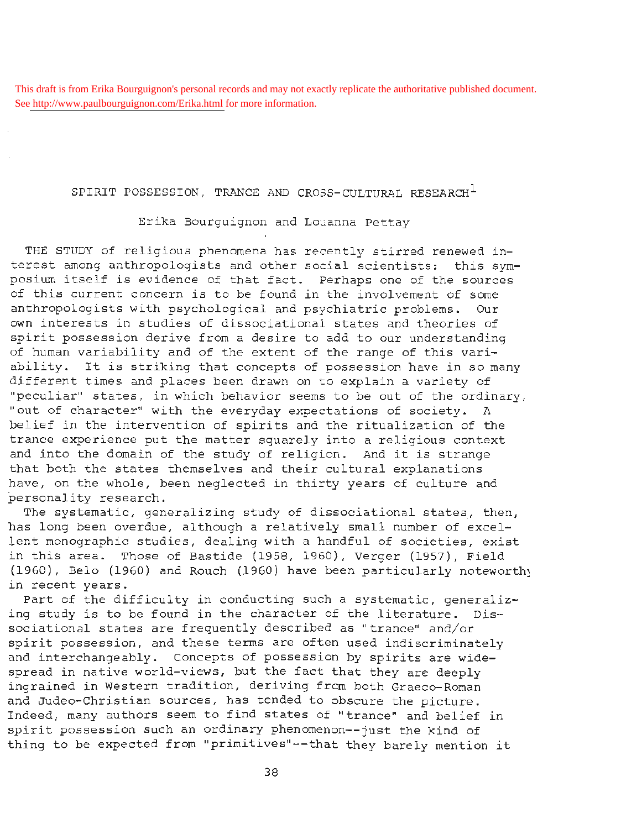This draft is from Erika Bourguignon's personal records and may not exactly replicate the authoritative published document. See<http://www.paulbourguignon.com/Erika.html>for more information.

## SPIRIT POSSESSION, TRANCE AND CROSS-CULTURAL RESEARCH $^{\mathrm{1}}$

Erika Bourguignon and Louanna Pettay

THE STUDY of religious phenomena has recently stirred renewed interest among anthropologists and other social scientists: this symposium itself is evidence of that fact. Perhaps one of the sources of this current concern is to be found in the involvement of some anthropologists with psychological and psychiatric problems. Our own interests in studies of dissociational states and theories of spirit possession derive from a desire to add to our understanding of human variability and of the extent of the range of this variability. It is striking that concepts of possession have in so many different times and places been drawn on to explain a variety of "peculiar" states, in which behavior seems to be out of the ordinary, "out of character" with the everyday expectations of society. A belief in the intervention of spirits and the ritualization of the trance experience put the matter squarely into a religious context and into the domain of the study of religion. And it is strange that both the states themselves and their cultural explanations have, on the whole, been neglected in thirty years of culture and personality research.

The systematic, generalizing study of dissociational states, then, has long been overdue, although a relatively small number of excellent monographic studies, dealing with a handful of societies, exist in this area. Those of Bastide (1958, 1960}, Verger (1957), Field (1960), Belo (1960) and Rouch (1960) have been particularly noteworth; in recent years.

Part of the difficulty in conducting such a systematic, generalizing study is to be found in the character of the literature. Dissociational states are frequently described as "trance" and/or spirit possession, and these terms are often used indiscriminately and interchangeably. Concepts of possession by spirits are widespread in native world-views, but the fact that they are deeply ingrained in Western tradition, deriving from both Graeco-Roman and Judeo-Christian sources, has tended to obscure the picture. Indeed, many authors seem to find states of "trance" and belief in spirit possession such an ordinary phenomenon--just the kind of thing to be expected from "primitives"--that they barely mention it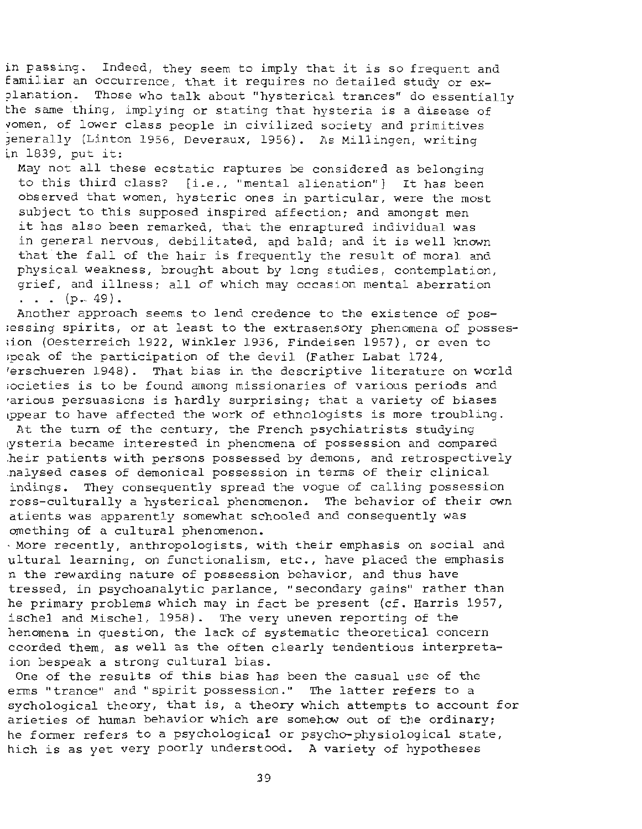in passing. Indeed, they seem to imply that it is so frequent and familiar an occurrence, that it requires no detailed study or ex-<br>planation. Those who talk about "hysterical trances" do essentia Those who talk about "hysterical trances" do essentially the same thing, implying or stating that hysteria is a disease of vomen, of lower class people in civilized society and primitives jenerally (Linton 1956, Deveraux, 1956). As Millingen, writing in 1839, put it:

May not all these ecstatic raptures be considered as belonging to this third class? [i.e., "mental alienation"] It has been observed that women, hysteric ones in particular, were the most subject to this supposed inspired affection; and amongst men it has also been remarked, that the enraptured individual was in general nervous, debilitated, and bald: and it is well known that the fall of the hair is frequently the result of moral and physical weakness, brought about by long studies, contemplation , grief, and illness; all of which may occasion mental aberration  $\ldots$  (p. 49).

Another approach seems to lend credence to the existence of pos- ;essing spirits, or at least to the extrasensory phenomena of posses- ;ion (Oesterreich 1922, Winkler 1936, Findeisen 1957), or even to :peak of the participation of the devil (Father Labat 1724, erschueren 1948). That bias in the descriptive literature on world ;ocieties is to be found among missionaries of various periods and ·arious persuasions is hardly surprising; that a variety of biases ippear to have affected the work of ethnologists is more troubling.

At the turn of the century, the French psychiatrists studying tysteria became interested in phenomena of possession and compared heir patients with persons possessed by demons, and retrospectively .nalysed cases of demonical possession in terms of their clinical indings. They consequently spread the voque of calling possession ross-culturally a hysterical phenomenon. The behavior of their own atients was apparently somewhat schooled and consequently was omething of a cultural phenomenon.

· More recently, anthropologists, with their emphasis on social and ultural learning, on functionalism, etc., have placed the emphasis n the rewarding nature of possession behavior, and thus have tressed, in psychoanalytic parlance, "secondary gains" rather than he primary problems which may in fact be present (cf. Harris 1957, ischel and Mischel, 1958). The very uneven reporting of the henomena in question, the lack of systematic theoretical concern ccorded them, as well as the often clearly tendentious interpretaion bespeak a strong cultural bias.

One of the results of this bias has been the casual use of the erms "trance" and "spirit possession." The latter refers to a sychological theory, that is, a theory which attempts to account for arieties of human behavior which are somehow out of the ordinary; he former refers to a psychological or psycho-physiological state, hich is as yet very poorly understood. A variety of hypotheses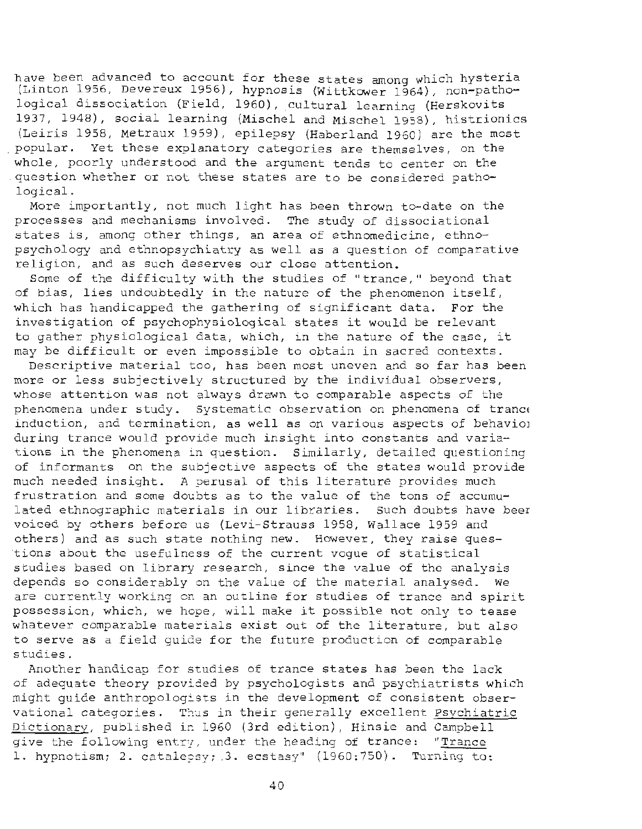have been advanced to account for these states among which hysteria (Linton 1956, Devereux 1956), hypnosis (Wittkower 1964), non-pathological dissociation (Field, 1960), cultural learning (Herskovits 1937, 1948), social learning (Mischel and Mischel 1958), histrionics (Leiris 1958, Metraux 1959), epilepsy (Haberland 1960) are the most popular. Yet these explanatory categories are themselves, on the whole, poorly understood and the argument tends to center on the question whether or not these states are to be considered pathological.

More importantly, not much light has been thrown to-date on the processes and mechanisms involved. The study of dissociational states is, among other things, an area of ethnomedicine, ethnopsychology and ethnopsychiatry as well as a question of comparative religion, and as such deserves our close attention.

Some of the difficulty with the studies of "trance," beyond that of bias, lies undoubtedly in the nature of the phenomenon itself, which has handicapped the gathering of significant data. For the investigation of psychophysiological states it would be relevant to gather physiological data, which, in the nature of the case, it may be difficult or even impossible to obtain in sacred contexts.

Descriptive material too, has been most uneven and so far has been more or less subjectively structured by the individual observers, whose attention was not always drawn to comparable aspects of the phenomena under study. Systematic observation on phenomena of trance induction, and termination, as well as on various aspects of behaviol during trance would provide much insight into constants and variations in the phenomena in question. Similarly, detailed questioning of informants on the subjective aspects of the states would provide much needed insight. A perusal of this literature provides much frustration and some doubts as to the value of the tons of accumulated ethnographic materials in our libraries. Such doubts have beer voiced by others before us (Levi-Strauss 1958, Wallace 1959 and others) and as such state nothing new. However, they raise questions about the usefulness of the current voque of statistical studies based on library research, since the value of the analysis depends so considerably on the value of the material analysed. We are currently working on an outline for studies of trance and spirit possession, which, we hope, will make it possible not only to tease whatever comparable materials exist out of the literature, but also to serve as a field quide for the future production of comparable studies.

Another handicap for studies of trance states has been the lack of adequate theory provided by psychologists and psychiatrists which might quide anthropologists in the development of consistent observational categories. Thus in their generally excellent Psvchiatric Dictionary, published in 1960 (3rd edition), Hinsie and Campbell give the following entry, under the heading of trance: "Trance 1. hypnotism; 2. cataleesy;  $3.$  ecstasy" (1960:750). Turning to: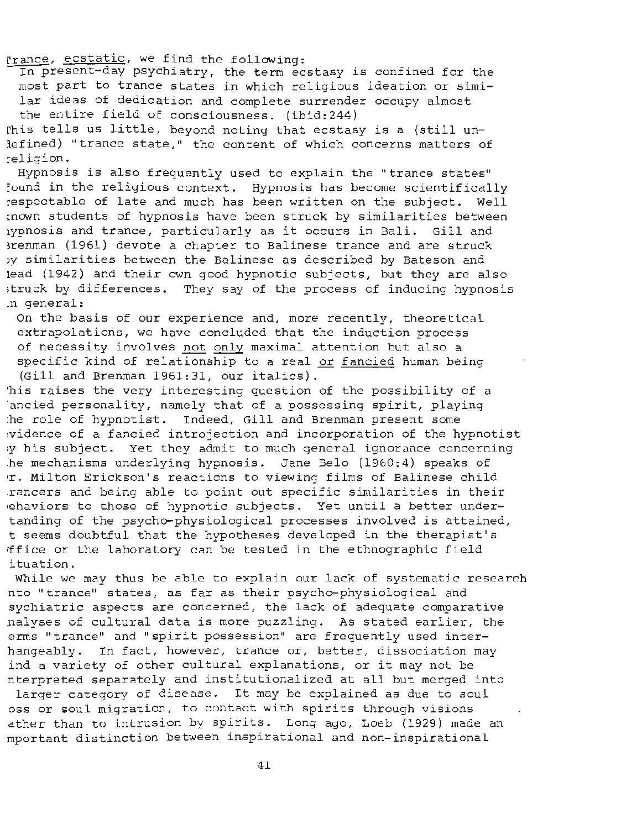Prance, ecstatic, we find the following:

In present-day psychiatry, the term ecstasy is confined for the most part to trance states in which religious ideation or similar ideas of dedication and complete surrender occupy almost the entire field of consciousness. (ibid:244) ~his tells us little, beyond noting that ecstasy is a (still un-

lefined) "trance state," the content of which concerns matters of :-eligion.

Hypnosis is also frequently used to explain the "trance states" :ound in the religious context. Hypnosis has become scientifically respectable of late and much has been written on the subject. Well ~nown students of hypnosis have been struck by similarities between 1ypnosis and trance, particularly as it occurs in Bali. Gill and Brenman (1961) devote a chapter to Balinese trance and are struck )y similarities between the Balinese as described by Bateson and lead (1942) and their own good hypnotic subjects, but they are also ;truck by differences. They say of the process of inducing hypnosis .n general:

On the basis of our experience and, more recently, theoretical extrapolations, we have concluded that the induction process of necessity involves not only maximal attention but also a specific kind of relationship to a real or fancied human being (Gill and Brenman 1961:31, our italics).

'his raises the very interesting question of the possibility of a ancied personality, namely that of a possessing spirit, playing :he role of hypnotist. Indeed, Gill and Brenman present some :vidence of a fancied introjection and incorporation of the hypnotist 1y his subject. Yet they admit to much general ignorance concerning .he mechanisms underlying hypnosis. Jane Belo (1960:4) speaks of •r. Milton Erickson's reactions to viewing films of Balinese child .rancers and being able to point out specific similarities in their •ehaviors to those of hypnotic subjects. Yet until a better undertanding of the psycho-physiological processes involved is attained, t seems doubtful that the hypotheses developed in the therapist's ffice or the laboratory can be tested in the ethnographic field ituation.

While we may thus be able to explain our lack of systematic research nto "trance" states, as far as their psycho-physiological and sychiatric aspects are concerned, the lack of adequate comparative .nalyses of cultural data is more puzzling. As stated earlier, the erms "trance" and "spirit possession" are frequently used interhangeably. In fact, however, trance or, better, dissociation may ind a variety of other cultural explanations, or it may not be nterpreted separately and institutionalized at all but merged into

larger category of disease. It may be explained as due to soul oss or soul migration, to contact with spirits through visions ather than to intrusion by spirits. Long ago, Loeb (1929) made an mportant distinction between inspirational and non-inspirational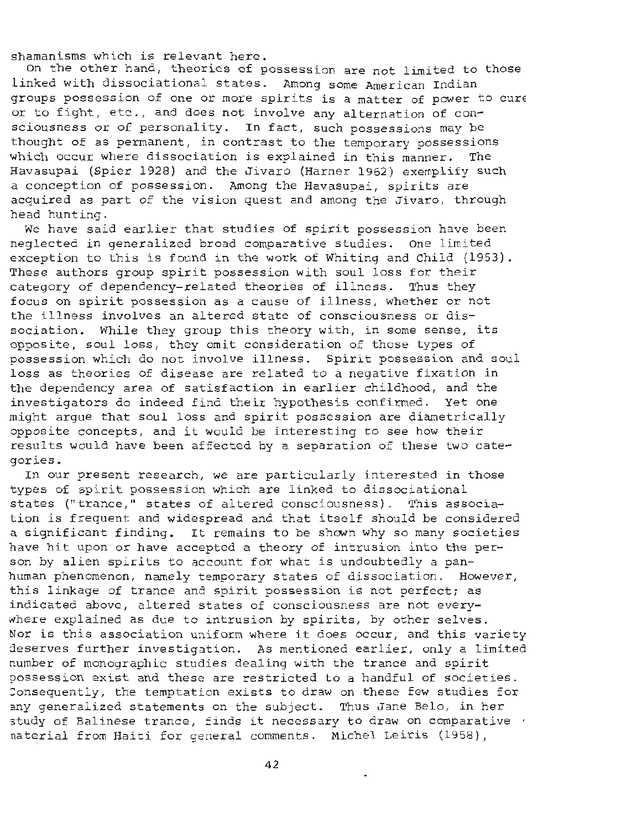shamanisms which is relevant here.

On the other hand, theories of possession are not limited to those linked with dissociational states. Among some American Indian groups possession of one or more spirits is a matter of power to cure or to fight, etc., and does not involve any alternation of consciousness or of personality. In fact, such possessions may be thought of as permanent, in contrast to the temporary possessions which occur where dissociation is explained in this manner. The Havasupai (Spier 1928) and the Jivaro (Harner 1962) exemplify such a conception of possession. Among the Havasupai, spirits are acquired as part of the vision quest and among the Jivaro, through head hunting.

We have said earlier that studies of spirit possession have been neglected in generalized broad comparative studies. One limited exception to this is found in the work of Whiting and Child (1953). These authors group spirit possession with soul loss for their category of dependency-related theories of illness. Thus they focus on spirit possession as a cause of illness, whether or not the illness involves an altered state of consciousness or dissociation. While they group this theory with, in some sense, its opposite, soul loss, they omit consideration of those types of possession which do not involve illness. Spirit possession and soul loss as theories of disease are related to a negative fixation in the dependency area of satisfaction in earlier childhood, and the investigators do indeed find their hypothesis confirmed. Yet one might argue that soul loss and spirit possession are diametrically opposite concepts{ and it would be interesting to see how their results would have been affected by a separation of these two categories.

In our present research, we are particularly interested in those types of spirit possession which are linked to dissociational states ("trance," states of altered consciousness). This association is frequent and widespread and that itself should be considered a significant finding. It remains to be shown why so many societies have hit upon or have accepted a theory of intrusion into the person by alien spirits to account for what is undoubtedly a panhuman phenomenon, namely temporary states of dissociation. However, this linkage of trance and spirit possession is not perfect; as indicated above, altered states of consciousness are not everywhere explained as due to intrusion by spirits, by other selves. Nor is this association uniform where it does occur, and this variety deserves further investigation. As mentioned earlier, only a limited number of monographic studies dealing with the trance and spirit ?ossession exist and these are restricted to a handful of societies. :onsequently, the temptation exists to draw on these few studies for any generalized statements on the subject. Thus Jane Belo, in her  $3$ tudy of Balinese trance, finds it necessary to draw on comparative  $\ell$ naterial from Haiti for general comments. Michel Leiris (1958),

l,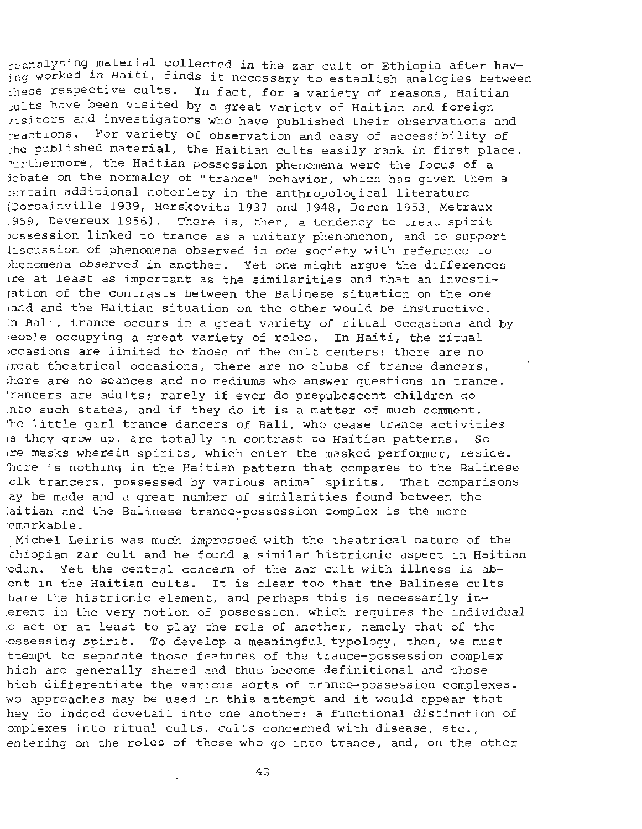~e analys ing material collected in the zar cult of Ethiopia after having worked in Haiti, finds it necessary to establish analogies between :hese respective cults. In fact, for a variety of reasons, Haitian tults have been visited by a great variety of Haitian and foreign isitors and investigators who have published their observations and reactions. For variety of observation and easy of accessibility of :he published material, the Haitian cults easily rank in first place. ~urthe rmore, the Haitian possession phenomena were the focus of a lebate on the normalcy of "trance" behavior, which has given them a ;ertain additional notoriety in the anthropological literature (Dorsainville 1939, Herskovits 1937 and 1948, Deren 1953, Metraux .959, Devereux 1956). There is, then, a tendency to treat spirit )ossession linked to trance as a unitary phenomenon, and to support liscussion of phenomena observed in one society with reference to >henomena observed in another. Yet one might argue the differences are at least as important as the similarities and that an investiration of the contrasts between the Balinese situation on the one hand and the Haitian situation on the other would be instructive. :n Bali, trance occurs in a great variety of ritual occasions and by beople occupying a great variety of roles. In Haiti, the ritual becasions are limited to those of the cult centers: there are no rreat theatrical occasions, there are no clubs of trance dancers, there are no seances and no mediums who answer questions in trance. 'rancers are adults; rarely if ever do prepubescent children go .nto such states, and if they do it is a matter of much comment. The little girl trance dancers of Bali, who cease trance activities<br>is they grow up, are totally in contrast to Haitian patterns. So is they grow up, are totally in contrast to Haitian patterns. 1re masks wherein spirits, which enter the masked performer, reside . 'here is nothing in the Haitian pattern that compares to the Balinese 'olk trancers, possessed by various animal spirits. That comparisons lay be made and a great number of similarities found between the iaitian and the Balinese trance-possession complex is the more ·emarkable .

Michel Leiris was much impressed with the theatrical nature of the thiopian zar cult and he found a similar histrionic aspect in Haitian odun. Yet the central concern of the zar cult with illness is abent in the Haitian cults. It is clear too that the Balinese cults hare the histrionic element, and perhaps this is necessarily in-.erent in the very notion of possession, which requires the individual .o act or at least to play the role of another, namely that of the ossessing spirit. To develop a meaningful typology, then, we must ttempt to separate those features of the trance-possession complex hich are generally shared and thus become definitional and those hich differentiate the various sorts of trance-possession complexes. wo approaches may be used in this attempt and it would appear that .hey do indeed dovetail into one another: a functional distinction of omplexes into ritual cults, cults concerned with disease, etc., entering on the roles of those who go into trance, and, on the other

43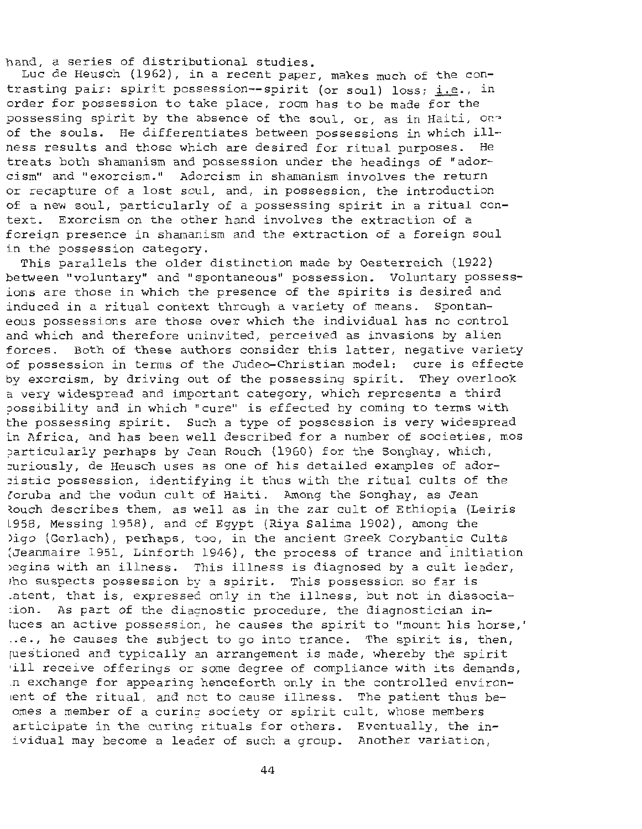hand, a series of distributional studies.

Luc de Heusch (1962), in a recent paper, makes much of the contrasting pair: spirit possession--spirit (or soul) loss; i.e., in order for possession to take place, room has to be made for the possessing spirit by the absence of the soul, or, as in Haiti, one of the souls. He differentiates between possessions in which ill-<br>ness results and those which are desired for ritual purposes. He ness results and those which are desired for ritual purposes. treats both shamanism and possession under the headings of "adorcism" and "exorcism." Adorcism in shamanism involves the return or recapture of a lost soul, and, in possession, the introduction of a new soul, particularly of a possessing spirit in a ritual context. Exorcism on the other hand involves the extraction of a foreign presence in shamanism and the extraction of a foreign soul in the possession category .

This parallels the older distinction made by Oesterreich (1922) between "voluntary" and "spontaneous" possession. Voluntary possessions are those in which the presence of the spirits is desired and induced in a ritual context through a variety of means. Spontaneous possessions are those over which the individual has no control and which and therefore uninvited, perceived as invasions by alien forces. Both of these authors consider this latter, negative variety of possession in terms of the Judeo-Christian model: cure is effecte by exorcism, by driving out of the possessing spirit. They overlook a very widespread and important category, which represents a third ?Ossibility and in which "cure" is effected by coming to terms with the possessing spirit. Such a type of possession is very widespread in Africa, and has been well described for a number of societies, mos particularly perhaps by Jean Rouch (1960) for the Songhay, which, :uriously, de Heusch uses as one of his detailed examples of ador - :istic possession, i dentifying it thus with the ritual cults of the loruba and the vodun cult of Haiti . Among the Songhay, as Jean Rouch describes them, as well as in the zar cult of Ethiopia (Leiris 1958, Messing 1958), and cf Egypt (Riya Salima 1902), among the )igo (Gerlach}, perhaps, too, in the ancient Greek Corybantic Cults (Jeanmaire 1951, Linforth 1946), the process of trance and initiation legins with an illness. This illness is diagnosed by a cult leader, tho suspects possession by a spirit. This possession so far is .atent, that is, expressed only in the illness, but not in dissocia-  $\sin 1$ . As part of the diagnostic procedure, the diagnostician inluces an active possession, he causes the spirit to "mount his horse,' ..e., he causes the subject to go into trance. The spirit is, then, juestioned and typically an arrangement is made, whereby the spirit •ill receive offerings or some degree of compliance with its demands, .n exchange for appearing hence forth only in the controlled environent of the ritual, and not to cause illness. The patient thus beomes a member of a curing society or spirit cult, whose members articipate in the curing rituals for others. Eventually, the inividual may become a leader of such a group. Another variation,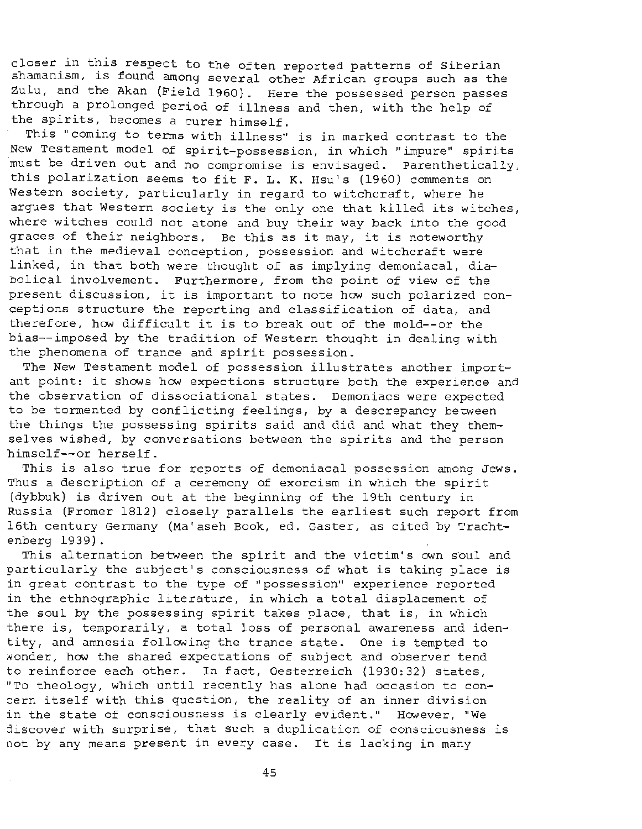closer in this respect to the often reported patterns of Siberian shamanism, is found among several other African groups such as the Zulu, and the Akan (Field 1960}. Here the possessed person passes through a prolonged period of illness and then, with the help of the spirits, becomes a curer himself.

This "coming to terms with illness" is in marked contrast to the New Testament model of spirit-possession, in which "impure" spirits must be driven out and no compromise is envisaged. Parenthetically, this polarization seems to fit F. L. K. Hsu's (1960} comments on Western society, particularly in regard to witchcraft, where he argues that Western society is the only one that killed its witches, where witches could not atone and buy their way back into the good graces of their neighbors. Be this as it may, it is noteworthy that in the medieval conception, possession and witchcraft were linked, in that both were thought of as implying demoniacal, diabolical involvement. Furthermore, from the point of view of the present discussion, it is important to note how such polarized conceptions structure the reporting and classification of data, and therefore, how difficult it is to break out of the mold--or the bias--imposed by the tradition of Western thought in dealing with the phenomena of trance and spirit possession.

The New Testament model of possession illustrates another important point: it shows how expections structure both the experience and the observation of dissociational states. Demoniacs were expected to be tormented by conflicting feelings, by a descrepancy between the things the possessing spirits said and did and what they themselves wished, by conversations between the spirits and the person himself--or herself.

This is also true for reports of demoniacal possession among Jews. Thus a description of a ceremony of exorcism in which the spirit (dybbuk} is driven out at the beginning of the 19th century in Russia (Fromer 1812) closely parallels the earliest such report from 16th century Germany (Ma'aseh Book, ed. Gaster, as cited by Trachtenberg 1939).

This alternation between the spirit and the victim's own soul and particularly the subject's consciousness of what is taking place is in great contrast to the type of "possession" experience reported in the ethnographic literature, in which a total displacement of the soul by the possessing spirit takes place, that is, in which there is, temporarily, a total loss of personal awareness and identity, and amnesia following the trance state. One is tempted to wonder, how the shared expectations of subject and observer tend to reinforce each other. In fact, Oesterreich (1930:32) states, "To theology, which until recently has alone had occasion to con cern itself with this question, the reality of an inner division in the state of consciousness is clearly evident." However, "We 1iscover with surprise, that such a duplication of consciousness is not by any means present in every case. It is lacking in many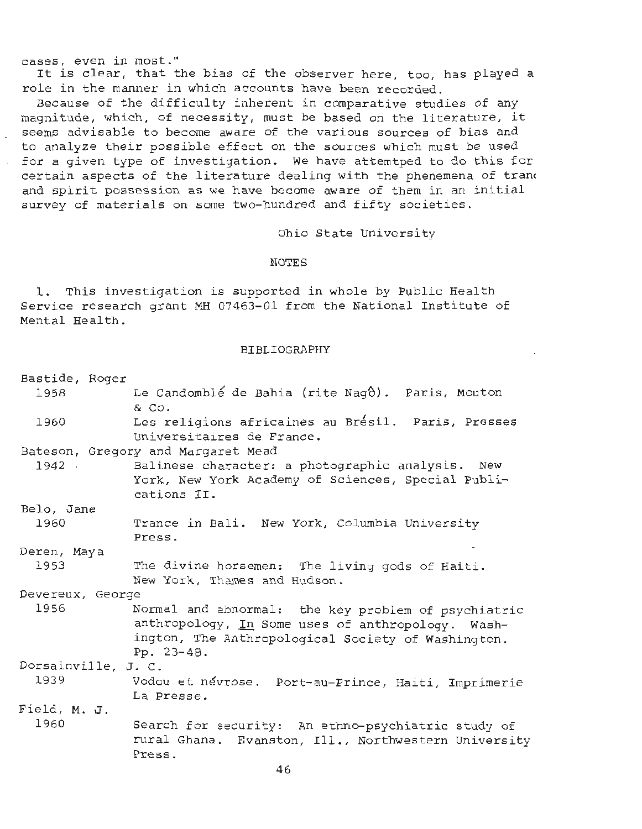cases, e ven in most."

It is clear, that the bias of the observer here, too, has played a role in the manner in which accounts have been recorded.

Because of the difficulty inherent in comparative studies of any magnitude, which, of necessity, must be based on the literature, it seems advisable to become aware of the various sources of bias and to analyze their possible effect on the sources which must be used for a given type of investigation. We have attemtped to do this for certain aspects of the literature dealing with the phenemena of trang and spirit possession as we have become aware of them in an initial survey of materials on some two-hundred and fifty societies.

Ohio State University

## NOTES

1. This investigation is supported in whole by Public Health Service research grant MH 07463-01 from the National Institute of Mental Health.

## BIBLI OGRAPHY

| Bastide, Roger      |                                                                                                                                                                              |
|---------------------|------------------------------------------------------------------------------------------------------------------------------------------------------------------------------|
| 1958                | Le Candomblé de Bahia (rite Nagô). Paris, Mouton<br>& Co.                                                                                                                    |
| 1960                | Les religions africaines au Brésil. Paris, Presses<br>Universitaires de France.                                                                                              |
|                     | Bateson, Gregory and Margaret Mead                                                                                                                                           |
|                     | 1942 Balinese character: a photographic analysis. New<br>York, New York Academy of Sciences, Special Publi-<br>cations II.                                                   |
| Belo, Jane          |                                                                                                                                                                              |
| 1960                | Trance in Bali. New York, Columbia University<br>Press.                                                                                                                      |
| Deren, Maya         |                                                                                                                                                                              |
| 1953                | The divine horsemen: The living gods of Haiti.<br>New York, Thames and Hudson.                                                                                               |
| Devereux, George    |                                                                                                                                                                              |
| 1956                | Normal and abnormal: the key problem of psychiatric<br>anthropology, In Some uses of anthropology. Wash-<br>ington, The Anthropological Society of Washington.<br>Pp. 23-48. |
| Dorsainville, J. C. |                                                                                                                                                                              |
| 1939                | Vodou et névrose. Port-au-Prince, Haiti, Imprimerie<br>La Presse.                                                                                                            |
| Field, M. J.        |                                                                                                                                                                              |
| 1960                | Search for security: An ethno-psychiatric study of<br>rural Ghana. Evanston, Ill., Northwestern University<br>Press.                                                         |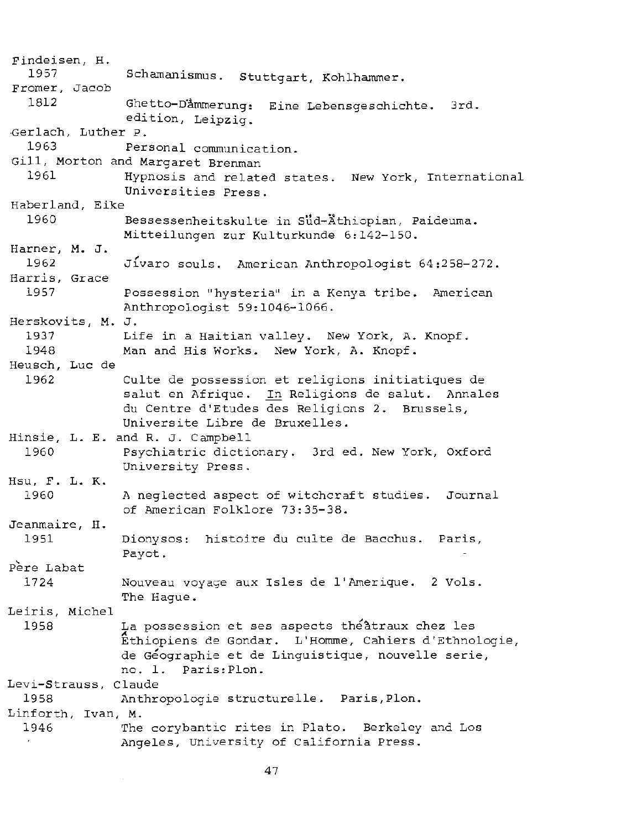Findeisen, H. 1957 Fromer, Jacob 1812 Schamanismus. Stuttgart, Kohlhammer. Ghetto-Dämmerung: Eine Lebensgeschichte. 3rd. edition, Leipzig. ·Gerlach, Luther P. 1963 Personal communication. Gill, Morton and Margaret Brenman 1961 Hypnosis and related states. New York, International Universities Press. Haberland, Eike 1960 Bessessenheitskulte in Sud-Äthiopian, Paideuma. Harner, M. J. 1962 Harris, Grace Mitteilungen zur Kulturkunde 6:142-150. Jivaro souls. American Anthropologist 64:258-272. 1957 Possession "hysteria" in a Kenya tribe. American Anthropologist 59:1046-1066. Herskovits, M. J. 1937 Life in a Haitian valley. New York, A. Knopf. 1948 Man and His Works. New York, A. Knopf. Heusch, Luc de 1962 Hinsie, L. E. and R. J. Campbell 1960 Hsu, F. L. K. 1960 Jeanmaire, H. 1951 Pere Labat 1724 Leiris, Michel 1958 Culte de possession et religions initiatiques de salut en Afrique. In Religions de salut. Annales du Centre d'Etudes des Religions 2. Brussels, Universite Libre de Bruxelles. Psychiatric dictionary. 3rd ed. New York, Oxford University Press. A neglected aspect of witchcraft studies. Journal of American Folklore 73:35-38. Dionysos: histoire du culte de Bacchus. Paris, Payot. Nouveau voyage aux Isles de !'Amerique. 2 Vols. The Hague. La possession et ses aspects théâtraux chez les A Ethiopiens de Gondar. L'Homme, Cahiers d'Ethnologie, de Geographie et de Linguistique, nouvelle serie, no. 1. Paris:Plon. Levi-Strauss, Claude 1958 Anthropologie structurelle. Paris,Plon. Linforth, Ivan, M. 1946 The corybantic rites in Plato. Berkeley and Los Angeles, University of California Press.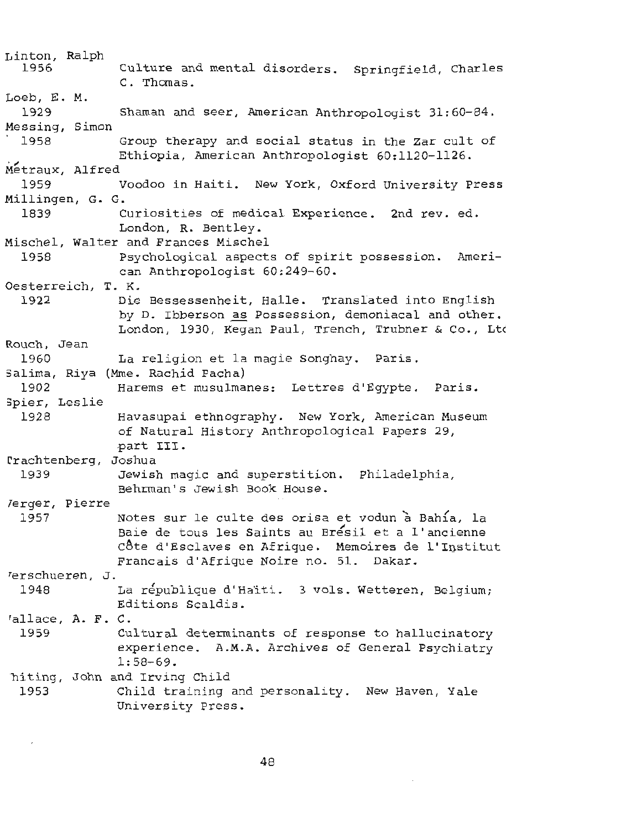Linton, Ralph 1956 Culture and mental disorders. Springfield, Charles C. Thomas. Loeb, E. M. 1929 Shaman and seer, American Anthropologist 31:60-84. Messing, Simon . 1958 Group therapy and social status in the Zar cult of Ethiopia, American Anthropologist 60:1120-1126. Metraux, Alfred<br>1959 Voodoo in Haiti. New York, Oxford University Press Millingen, G. G. 1839 Curiosities of medical Experience. 2nd rev. ed. London, R. Bentley. Mischel, Walter and Frances Mischel 1958 Psychological aspects of spirit possession. American Anthropologist 60:249-60. Oesterreich, T. K. 1922 Die Bessessenheit, Halle. Translated into English by D. Ibberson as Possession, demoniacal and other. London, 1930, Kegan Paul, Trench, Trubner & Co., Ltd Rouch, Jean 1960 La religion et la magie Songhay. Paris. 5alima, Riya (Mme. Rachid Pacha) 1902 Harems et rnusulmanes: Lettres d'Egypte. Paris. 3pier, Leslie 1928 Havasupai ethnography. New York, American Museum of Natural History Anthropological Papers 29, .part III. rrachtenberg, Joshua 1939 Terger, Pierre Jewish magic and superstition. Philadelphia, Behrman's Jewish Book House. 1957 Notes sur le culte des orisa et vodun à Bahía, la Baie de tous les Saints au Bresil et a l'ancienne Côte d'Esclaves en Afrique. Memoires de l'Institut Francais d'Afrique Noire no. 51. Dakar. rerschueren, J. 1948 La république d'Haiti. 3 vols. Wetteren, Belgium; Editions Scaldis. rallace, A. F. C. 1959 Cultural determinants of response to hallucinatory experience. A.M.A. Archives of General Psychiatry 1: 58-69. biting, John and Irving Child 1953 Child training and personality. New Haven, Yale University Press.